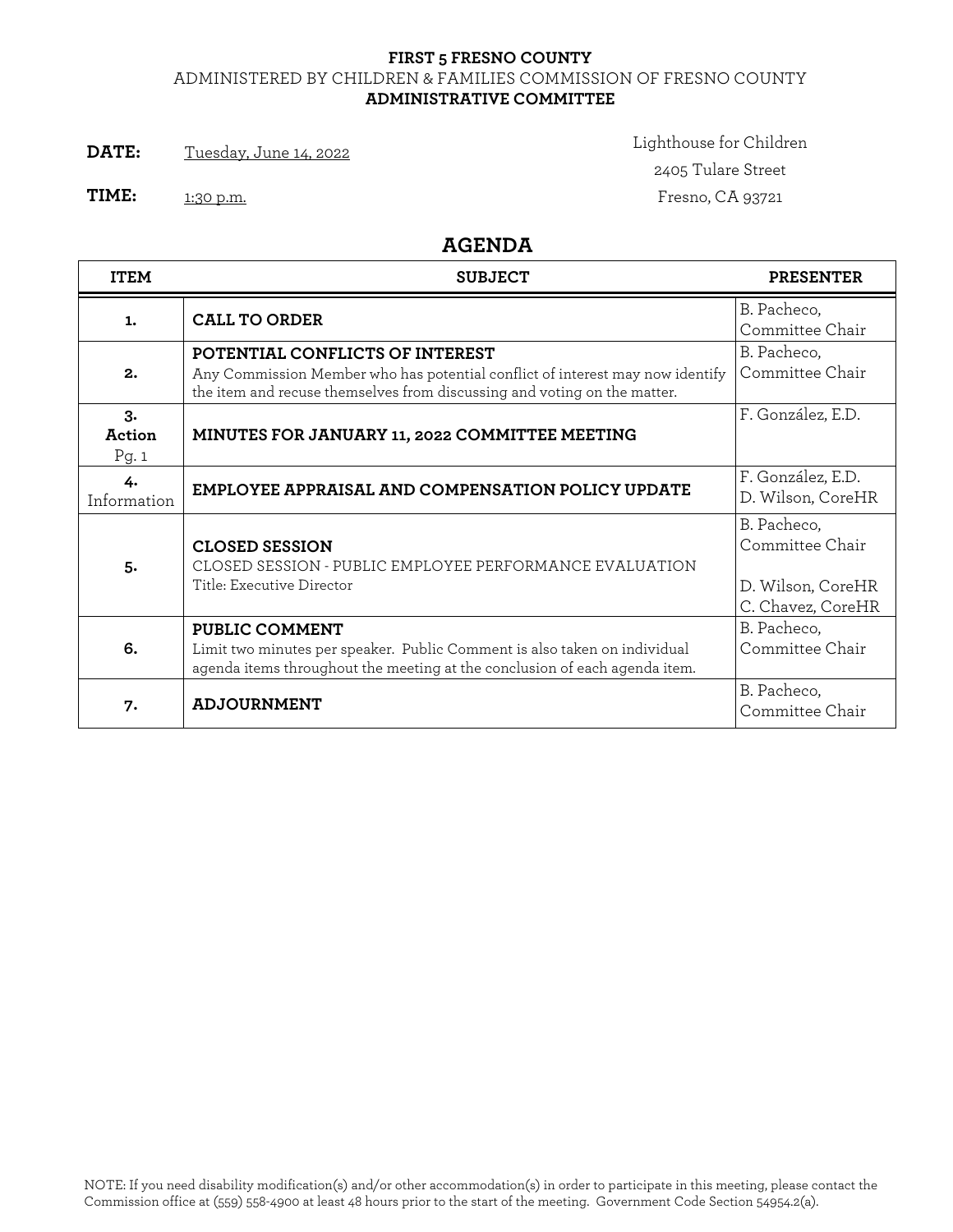## **FIRST 5 FRESNO COUNTY** ADMINISTERED BY CHILDREN & FAMILIES COMMISSION OF FRESNO COUNTY **ADMINISTRATIVE COMMITTEE**

**DATE:** Tuesday, June 14, 2022 **Lighthouse for Children** 

2405 Tulare Street **TIME:** 1:30 p.m. **IIME:** 1:30 p.m.

**AGENDA**

| <b>ITEM</b>          | <b>SUBJECT</b>                                                                                                                                                                               | <b>PRESENTER</b>                                                         |
|----------------------|----------------------------------------------------------------------------------------------------------------------------------------------------------------------------------------------|--------------------------------------------------------------------------|
| 1.                   | <b>CALL TO ORDER</b>                                                                                                                                                                         | B. Pacheco,<br>Committee Chair                                           |
| 2.                   | POTENTIAL CONFLICTS OF INTEREST<br>Any Commission Member who has potential conflict of interest may now identify<br>the item and recuse themselves from discussing and voting on the matter. | B. Pacheco,<br>Committee Chair                                           |
| 3.<br>Action<br>Pg.1 | MINUTES FOR JANUARY 11, 2022 COMMITTEE MEETING                                                                                                                                               | F. González, E.D.                                                        |
| 4.<br>Information    | <b>EMPLOYEE APPRAISAL AND COMPENSATION POLICY UPDATE</b>                                                                                                                                     | F. González, E.D.<br>D. Wilson, CoreHR                                   |
| 5.                   | <b>CLOSED SESSION</b><br>CLOSED SESSION - PUBLIC EMPLOYEE PERFORMANCE EVALUATION<br>Title: Executive Director                                                                                | B. Pacheco,<br>Committee Chair<br>D. Wilson, CoreHR<br>C. Chavez, CoreHR |
| 6.                   | PUBLIC COMMENT<br>Limit two minutes per speaker. Public Comment is also taken on individual<br>agenda items throughout the meeting at the conclusion of each agenda item.                    | B. Pacheco,<br>Committee Chair                                           |
| 7.                   | <b>ADJOURNMENT</b>                                                                                                                                                                           | B. Pacheco,<br>Committee Chair                                           |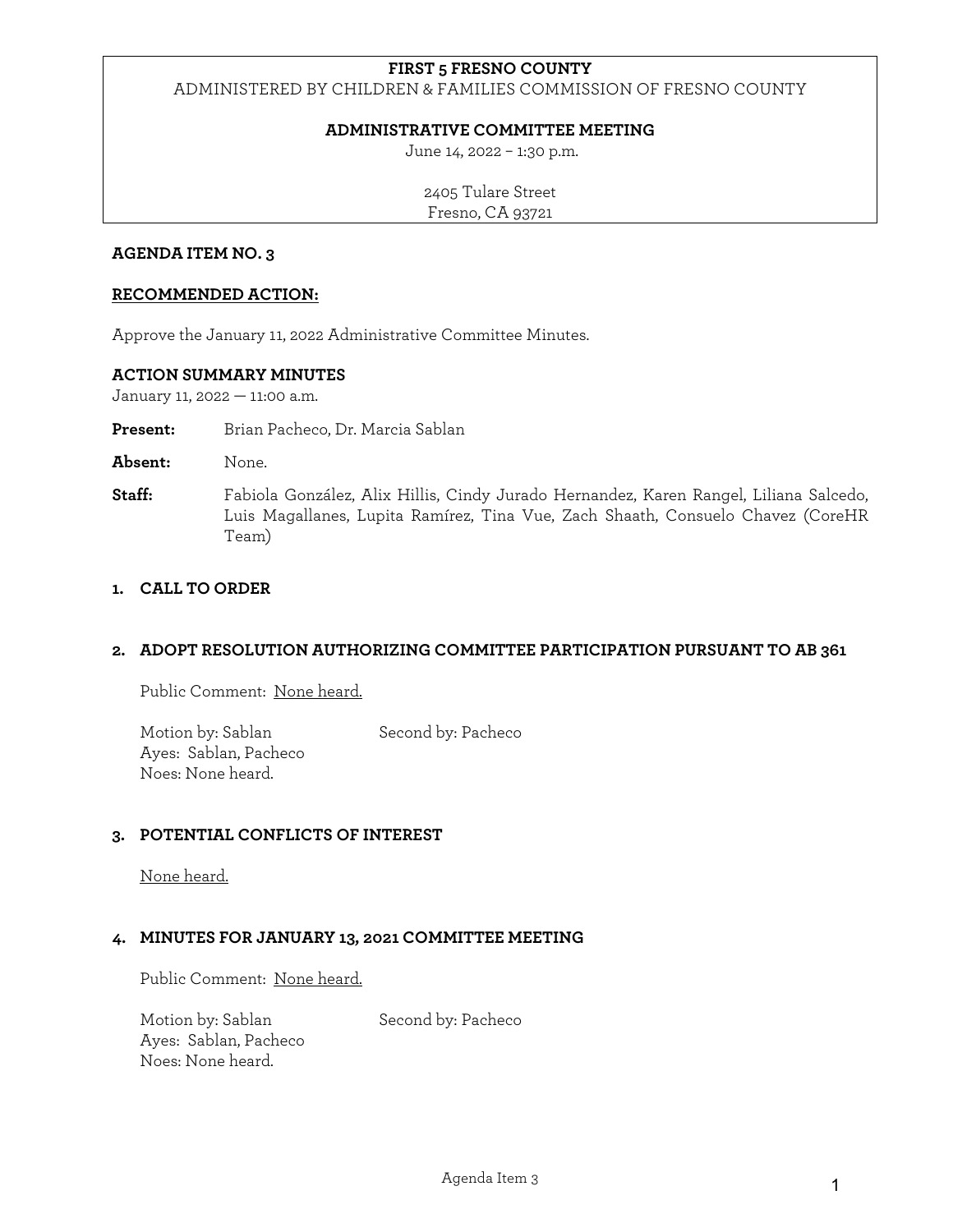## **FIRST 5 FRESNO COUNTY**

ADMINISTERED BY CHILDREN & FAMILIES COMMISSION OF FRESNO COUNTY

### **ADMINISTRATIVE COMMITTEE MEETING**

June 14, 2022 – 1:30 p.m.

2405 Tulare Street Fresno, CA 93721

#### **AGENDA ITEM NO. 3**

### **RECOMMENDED ACTION:**

Approve the January 11, 2022 Administrative Committee Minutes.

### **ACTION SUMMARY MINUTES**

January 11, 2022 — 11:00 a.m.

**Present:** Brian Pacheco, Dr. Marcia Sablan

- **Absent:** None.
- **Staff:** Fabiola González, Alix Hillis, Cindy Jurado Hernandez, Karen Rangel, Liliana Salcedo, Luis Magallanes, Lupita Ramírez, Tina Vue, Zach Shaath, Consuelo Chavez (CoreHR Team)

### **1. CALL TO ORDER**

### **2. ADOPT RESOLUTION AUTHORIZING COMMITTEE PARTICIPATION PURSUANT TO AB 361**

Public Comment: None heard.

Motion by: Sablan Second by: Pacheco Ayes: Sablan, Pacheco Noes: None heard.

### **3. POTENTIAL CONFLICTS OF INTEREST**

None heard.

### **4. MINUTES FOR JANUARY 13, 2021 COMMITTEE MEETING**

Public Comment: None heard.

Motion by: Sablan Second by: Pacheco Ayes: Sablan, Pacheco Noes: None heard.